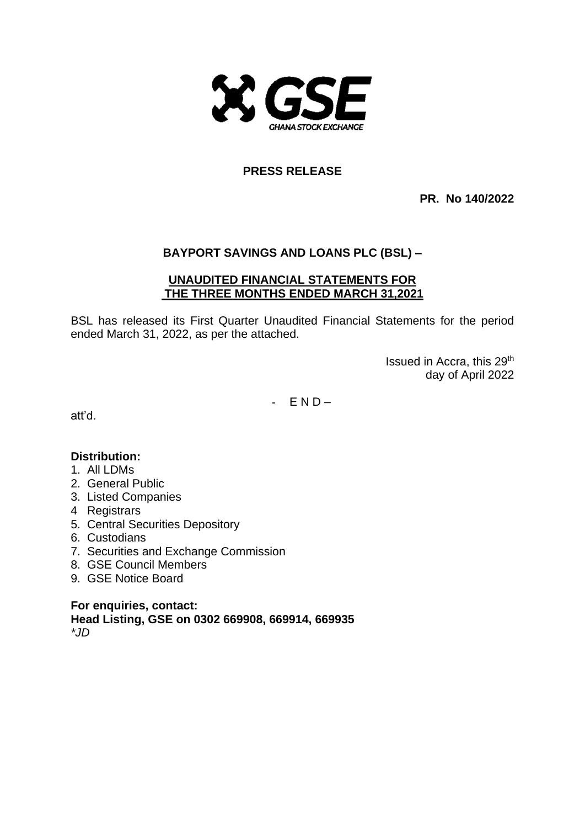

# **PRESS RELEASE**

**PR. No 140/2022**

# **BAYPORT SAVINGS AND LOANS PLC (BSL) –**

# **UNAUDITED FINANCIAL STATEMENTS FOR THE THREE MONTHS ENDED MARCH 31,2021**

BSL has released its First Quarter Unaudited Financial Statements for the period ended March 31, 2022, as per the attached.

> Issued in Accra, this 29th day of April 2022

 $-$  END-

att'd.

# **Distribution:**

- 1. All LDMs
- 2. General Public
- 3. Listed Companies
- 4 Registrars
- 5. Central Securities Depository
- 6. Custodians
- 7. Securities and Exchange Commission
- 8. GSE Council Members
- 9. GSE Notice Board

**For enquiries, contact: Head Listing, GSE on 0302 669908, 669914, 669935** *\*JD*